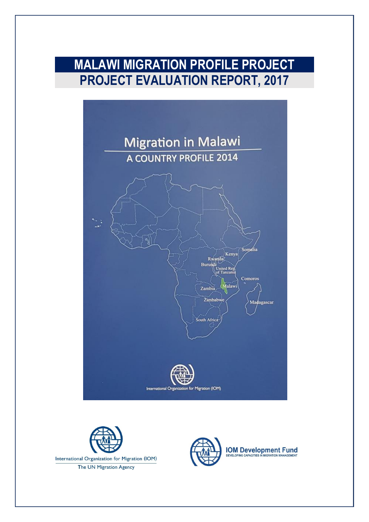# **MALAWI MIGRATION PROFILE PROJECT PROJECT EVALUATION REPORT, 2017**







**IOM Development Fund**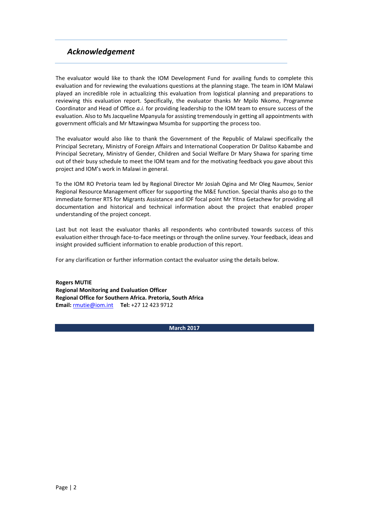#### *Acknowledgement*

The evaluator would like to thank the IOM Development Fund for availing funds to complete this evaluation and for reviewing the evaluations questions at the planning stage. The team in IOM Malawi played an incredible role in actualizing this evaluation from logistical planning and preparations to reviewing this evaluation report. Specifically, the evaluator thanks Mr Mpilo Nkomo, Programme Coordinator and Head of Office *a.i.* for providing leadership to the IOM team to ensure success of the evaluation. Also to Ms Jacqueline Mpanyula for assisting tremendously in getting all appointments with government officials and Mr Mtawingwa Msumba for supporting the process too.

The evaluator would also like to thank the Government of the Republic of Malawi specifically the Principal Secretary, Ministry of Foreign Affairs and International Cooperation Dr Dalitso Kabambe and Principal Secretary, Ministry of Gender, Children and Social Welfare Dr Mary Shawa for sparing time out of their busy schedule to meet the IOM team and for the motivating feedback you gave about this project and IOM's work in Malawi in general.

To the IOM RO Pretoria team led by Regional Director Mr Josiah Ogina and Mr Oleg Naumov, Senior Regional Resource Management officer for supporting the M&E function. Special thanks also go to the immediate former RTS for Migrants Assistance and IDF focal point Mr Yitna Getachew for providing all documentation and historical and technical information about the project that enabled proper understanding of the project concept.

Last but not least the evaluator thanks all respondents who contributed towards success of this evaluation either through face-to-face meetings or through the online survey. Your feedback, ideas and insight provided sufficient information to enable production of this report.

For any clarification or further information contact the evaluator using the details below.

**Rogers MUTIE Regional Monitoring and Evaluation Officer Regional Office for Southern Africa. Pretoria, South Africa Email:** [rmutie@iom.int](mailto:rmutie@iom.int) **Tel:** +27 12 423 9712

**March 2017**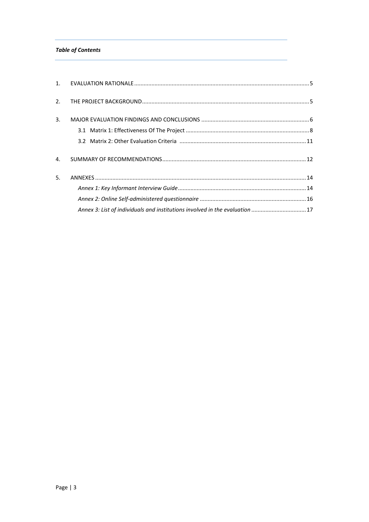#### **Table of Contents**

| 3. |                                                                              |  |
|----|------------------------------------------------------------------------------|--|
|    |                                                                              |  |
|    |                                                                              |  |
| 4. |                                                                              |  |
| 5. |                                                                              |  |
|    |                                                                              |  |
|    |                                                                              |  |
|    | Annex 3: List of individuals and institutions involved in the evaluation  17 |  |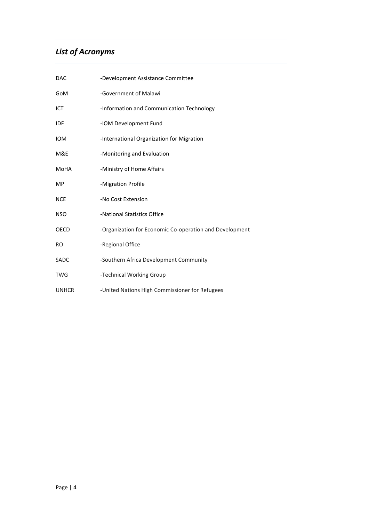## *List of Acronyms*

| <b>DAC</b>   | -Development Assistance Committee                       |
|--------------|---------------------------------------------------------|
| GoM          | -Government of Malawi                                   |
| ICT          | -Information and Communication Technology               |
| <b>IDF</b>   | -IOM Development Fund                                   |
| <b>IOM</b>   | -International Organization for Migration               |
| M&E          | -Monitoring and Evaluation                              |
| MoHA         | -Ministry of Home Affairs                               |
| MP.          | -Migration Profile                                      |
| <b>NCE</b>   | -No Cost Extension                                      |
| <b>NSO</b>   | -National Statistics Office                             |
| OECD         | -Organization for Economic Co-operation and Development |
| <b>RO</b>    | -Regional Office                                        |
| <b>SADC</b>  | -Southern Africa Development Community                  |
| <b>TWG</b>   | -Technical Working Group                                |
| <b>UNHCR</b> | -United Nations High Commissioner for Refugees          |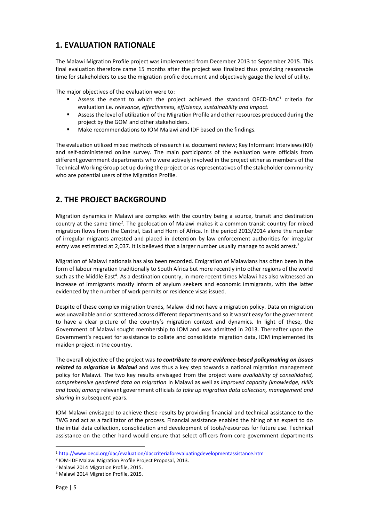## <span id="page-4-0"></span>**1. EVALUATION RATIONALE**

The Malawi Migration Profile project was implemented from December 2013 to September 2015. This final evaluation therefore came 15 months after the project was finalized thus providing reasonable time for stakeholders to use the migration profile document and objectively gauge the level of utility.

The major objectives of the evaluation were to:

- **Assess the extent to which the project achieved the standard OECD-DAC<sup>1</sup> criteria for** evaluation i.e. *relevance, effectiveness, efficiency, sustainability and impact.*
- Assess the level of utilization of the Migration Profile and other resources produced during the project by the GOM and other stakeholders.
- Make recommendations to IOM Malawi and IDF based on the findings.

The evaluation utilized mixed methods of research i.e. document review; Key Informant Interviews (KII) and self-administered online survey. The main participants of the evaluation were officials from different government departments who were actively involved in the project either as members of the Technical Working Group set up during the project or as representatives of the stakeholder community who are potential users of the Migration Profile.

## <span id="page-4-1"></span>**2. THE PROJECT BACKGROUND**

Migration dynamics in Malawi are complex with the country being a source, transit and destination country at the same time<sup>2</sup>. The geolocation of Malawi makes it a common transit country for mixed migration flows from the Central, East and Horn of Africa. In the period 2013/2014 alone the number of irregular migrants arrested and placed in detention by law enforcement authorities for irregular entry was estimated at 2,037. It is believed that a larger number usually manage to avoid arrest.<sup>3</sup>

Migration of Malawi nationals has also been recorded. Emigration of Malawians has often been in the form of labour migration traditionally to South Africa but more recently into other regions of the world such as the Middle East<sup>4</sup>. As a destination country, in more recent times Malawi has also witnessed an increase of immigrants mostly inform of asylum seekers and economic immigrants, with the latter evidenced by the number of work permits or residence visas issued.

Despite of these complex migration trends, Malawi did not have a migration policy. Data on migration was unavailable and or scattered across different departments and so it wasn't easy for the government to have a clear picture of the country's migration context and dynamics. In light of these, the Government of Malawi sought membership to IOM and was admitted in 2013. Thereafter upon the Government's request for assistance to collate and consolidate migration data, IOM implemented its maiden project in the country.

The overall objective of the project was *to contribute to more evidence-based policymaking on issues related to migration in Malawi* and was thus a key step towards a national migration management policy for Malawi. The two key results envisaged from the project were *availability of consolidated, comprehensive gendered data on migration* in Malawi as well as *improved capacity (knowledge, skills and tools) among* relevant government officials *to take up migration data collection, management and sharing* in subsequent years.

IOM Malawi envisaged to achieve these results by providing financial and technical assistance to the TWG and act as a facilitator of the process. Financial assistance enabled the hiring of an expert to do the initial data collection, consolidation and development of tools/resources for future use. Technical assistance on the other hand would ensure that select officers from core government departments

 $\overline{a}$ 

<sup>1</sup> <http://www.oecd.org/dac/evaluation/daccriteriaforevaluatingdevelopmentassistance.htm>

<sup>2</sup> IOM-IDF Malawi Migration Profile Project Proposal, 2013.

<sup>3</sup> Malawi 2014 Migration Profile, 2015.

<sup>4</sup> Malawi 2014 Migration Profile, 2015.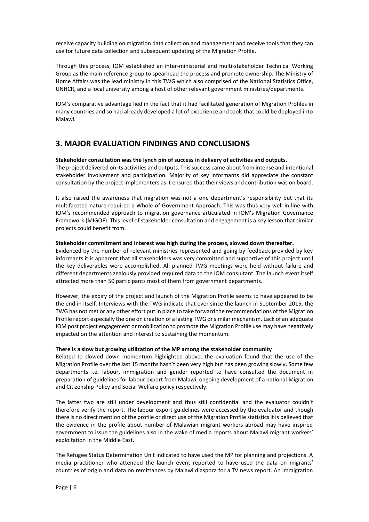receive capacity building on migration data collection and management and receive tools that they can use for future data collection and subsequent updating of the Migration Profile.

Through this process, IOM established an inter-ministerial and multi-stakeholder Technical Working Group as the main reference group to spearhead the process and promote ownership. The Ministry of Home Affairs was the lead ministry in this TWG which also comprised of the National Statistics Office, UNHCR, and a local university among a host of other relevant government ministries/departments.

IOM's comparative advantage lied in the fact that it had facilitated generation of Migration Profiles in many countries and so had already developed a lot of experience and tools that could be deployed into Malawi.

#### <span id="page-5-0"></span>**3. MAJOR EVALUATION FINDINGS AND CONCLUSIONS**

#### **Stakeholder consultation was the lynch pin of success in delivery of activities and outputs.**

The project delivered on its activities and outputs. This success came about from intense and intentional stakeholder involvement and participation*.* Majority of key informants did appreciate the constant consultation by the project implementers as it ensured that their views and contribution was on board.

It also raised the awareness that migration was not a one department's responsibility but that its multifaceted nature required a Whole-of-Government Approach. This was thus very well in line with IOM's recommended approach to migration governance articulated in IOM's Migration Governance Framework (MIGOF). This level of stakeholder consultation and engagement is a key lesson that similar projects could benefit from.

#### **Stakeholder commitment and interest was high during the process, slowed down thereafter.**

Evidenced by the number of relevant ministries represented and going by feedback provided by key informants it is apparent that all stakeholders was very committed and supportive of this project until the key deliverables were accomplished. All planned TWG meetings were held without failure and different departments zealously provided required data to the IOM consultant. The launch event itself attracted more than 50 participants most of them from government departments.

However, the expiry of the project and launch of the Migration Profile seems to have appeared to be the end in itself. Interviews with the TWG indicate that ever since the launch in September 2015, the TWG has not met or any other effort put in place to take forward the recommendations of the Migration Profile report especially the one on creation of a lasting TWG or similar mechanism. Lack of an adequate IOM post project engagement or mobilization to promote the Migration Profile use may have negatively impacted on the attention and interest to sustaining the momentum.

#### **There is a slow but growing utilization of the MP among the stakeholder community**

Related to slowed down momentum highlighted above, the evaluation found that the use of the Migration Profile over the last 15 months hasn't been very high but has been growing slowly. Some few departments i.e. labour, immigration and gender reported to have consulted the document in preparation of guidelines for labour export from Malawi, ongoing development of a national Migration and Citizenship Policy and Social Welfare policy respectively.

The latter two are still under development and thus still confidential and the evaluator couldn't therefore verify the report. The labour export guidelines were accessed by the evaluator and though there is no direct mention of the profile or direct use of the Migration Profile statistics it is believed that the evidence in the profile about number of Malawian migrant workers abroad may have inspired government to issue the guidelines also in the wake of media reports about Malawi migrant workers' exploitation in the Middle East.

The Refugee Status Determination Unit indicated to have used the MP for planning and projections. A media practitioner who attended the launch event reported to have used the data on migrants' countries of origin and data on remittances by Malawi diaspora for a TV news report. An immigration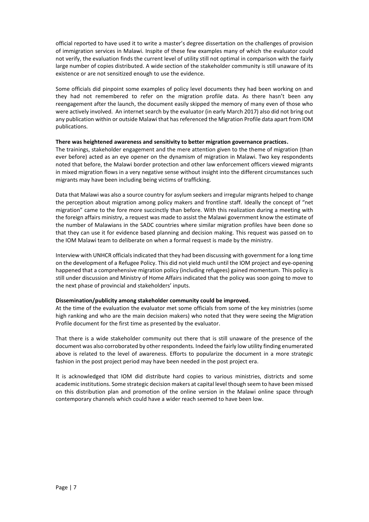official reported to have used it to write a master's degree dissertation on the challenges of provision of immigration services in Malawi. Inspite of these few examples many of which the evaluator could not verify, the evaluation finds the current level of utility still not optimal in comparison with the fairly large number of copies distributed. A wide section of the stakeholder community is still unaware of its existence or are not sensitized enough to use the evidence.

Some officials did pinpoint some examples of policy level documents they had been working on and they had not remembered to refer on the migration profile data. As there hasn't been any reengagement after the launch, the document easily skipped the memory of many even of those who were actively involved. An internet search by the evaluator (in early March 2017) also did not bring out any publication within or outside Malawi that has referenced the Migration Profile data apart from IOM publications.

#### **There was heightened awareness and sensitivity to better migration governance practices.**

The trainings, stakeholder engagement and the mere attention given to the theme of migration (than ever before) acted as an eye opener on the dynamism of migration in Malawi. Two key respondents noted that before, the Malawi border protection and other law enforcement officers viewed migrants in mixed migration flows in a very negative sense without insight into the different circumstances such migrants may have been including being victims of trafficking.

Data that Malawi was also a source country for asylum seekers and irregular migrants helped to change the perception about migration among policy makers and frontline staff. Ideally the concept of "net migration" came to the fore more succinctly than before. With this realization during a meeting with the foreign affairs ministry, a request was made to assist the Malawi government know the estimate of the number of Malawians in the SADC countries where similar migration profiles have been done so that they can use it for evidence based planning and decision making. This request was passed on to the IOM Malawi team to deliberate on when a formal request is made by the ministry.

Interview with UNHCR officials indicated that they had been discussing with government for a long time on the development of a Refugee Policy. This did not yield much until the IOM project and eye-opening happened that a comprehensive migration policy (including refugees) gained momentum. This policy is still under discussion and Ministry of Home Affairs indicated that the policy was soon going to move to the next phase of provincial and stakeholders' inputs.

#### **Dissemination/publicity among stakeholder community could be improved.**

At the time of the evaluation the evaluator met some officials from some of the key ministries (some high ranking and who are the main decision makers) who noted that they were seeing the Migration Profile document for the first time as presented by the evaluator.

That there is a wide stakeholder community out there that is still unaware of the presence of the document was also corroborated by other respondents. Indeed the fairly low utility finding enumerated above is related to the level of awareness. Efforts to popularize the document in a more strategic fashion in the post project period may have been needed in the post project era.

It is acknowledged that IOM did distribute hard copies to various ministries, districts and some academic institutions. Some strategic decision makers at capital level though seem to have been missed on this distribution plan and promotion of the online version in the Malawi online space through contemporary channels which could have a wider reach seemed to have been low.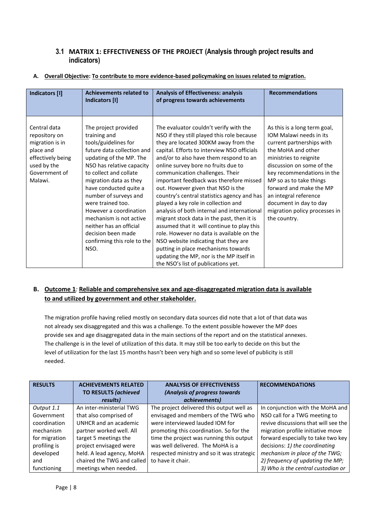#### <span id="page-7-0"></span>**3.1 MATRIX 1: EFFECTIVENESS OF THE PROJECT (Analysis through project results and indicators)**

|                   | <b>Achievements related to</b> |                                             |                               |
|-------------------|--------------------------------|---------------------------------------------|-------------------------------|
| Indicators [I]    |                                | <b>Analysis of Effectiveness: analysis</b>  | <b>Recommendations</b>        |
|                   | Indicators [I]                 | of progress towards achievements            |                               |
|                   |                                |                                             |                               |
|                   |                                |                                             |                               |
| Central data      | The project provided           | The evaluator couldn't verify with the      | As this is a long term goal,  |
| repository on     | training and                   | NSO if they still played this role because  | IOM Malawi needs in its       |
| migration is in   | tools/guidelines for           | they are located 300KM away from the        | current partnerships with     |
| place and         | future data collection and     | capital. Efforts to interview NSO officials | the MoHA and other            |
| effectively being | updating of the MP. The        | and/or to also have them respond to an      | ministries to reignite        |
| used by the       | NSO has relative capacity      | online survey bore no fruits due to         | discussion on some of the     |
| Government of     | to collect and collate         | communication challenges. Their             | key recommendations in the    |
| Malawi.           | migration data as they         | important feedback was therefore missed     | MP so as to take things       |
|                   | have conducted quite a         | out. However given that NSO is the          | forward and make the MP       |
|                   | number of surveys and          | country's central statistics agency and has | an integral reference         |
|                   | were trained too.              | played a key role in collection and         | document in day to day        |
|                   | However a coordination         | analysis of both internal and international | migration policy processes in |
|                   | mechanism is not active        | migrant stock data in the past, then it is  | the country.                  |
|                   | neither has an official        | assumed that it will continue to play this  |                               |
|                   | decision been made             | role. However no data is available on the   |                               |
|                   | confirming this role to the    | NSO website indicating that they are        |                               |
|                   | NSO.                           | putting in place mechanisms towards         |                               |
|                   |                                | updating the MP, nor is the MP itself in    |                               |
|                   |                                | the NSO's list of publications yet.         |                               |

#### **A. Overall Objective: To contribute to more evidence-based policymaking on issues related to migration.**

#### **B. Outcome 1***:* **Reliable and comprehensive sex and age-disaggregated migration data is available to and utilized by government and other stakeholder.**

The migration profile having relied mostly on secondary data sources did note that a lot of that data was not already sex disaggregated and this was a challenge. To the extent possible however the MP does provide sex and age disaggregated data in the main sections of the report and on the statistical annexes. The challenge is in the level of utilization of this data. It may still be too early to decide on this but the level of utilization for the last 15 months hasn't been very high and so some level of publicity is still needed.

| <b>RESULTS</b> | <b>ACHIEVEMENTS RELATED</b> | <b>ANALYSIS OF EFFECTIVENESS</b>           | <b>RECOMMENDATIONS</b>               |
|----------------|-----------------------------|--------------------------------------------|--------------------------------------|
|                | <b>TO RESULTS (achieved</b> | (Analysis of progress towards)             |                                      |
|                | results)                    | achievements)                              |                                      |
| Output 1.1     | An inter-ministerial TWG    | The project delivered this output well as  | In conjunction with the MoHA and     |
| Government     | that also comprised of      | envisaged and members of the TWG who       | NSO call for a TWG meeting to        |
| coordination   | UNHCR and an academic       | were interviewed lauded IOM for            | revive discussions that will see the |
| mechanism      | partner worked well. All    | promoting this coordination. So for the    | migration profile initiative move    |
| for migration  | target 5 meetings the       | time the project was running this output   | forward especially to take two key   |
| profiling is   | project envisaged were      | was well delivered. The MoHA is a          | decisions: 1) the coordinating       |
| developed      | held. A lead agency, MoHA   | respected ministry and so it was strategic | mechanism in place of the TWG;       |
| and            | chaired the TWG and called  | to have it chair.                          | 2) frequency of updating the MP;     |
| functioning    | meetings when needed.       |                                            | 3) Who is the central custodian or   |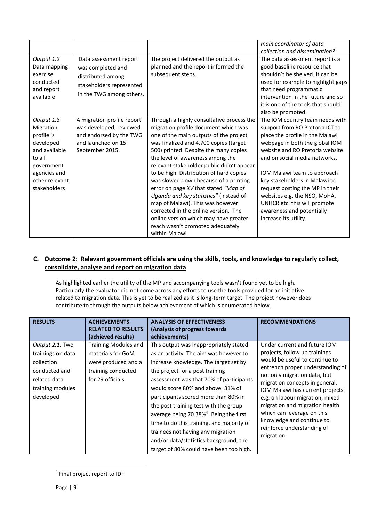|                                                                                                                                               |                                                                                                                           |                                                                                                                                                                                                                                                                                                                                                                                                                                                                                                                                                                                                                                                  | main coordinator of data<br>collection and dissemination?                                                                                                                                                                                                                                                                                                                                                                            |
|-----------------------------------------------------------------------------------------------------------------------------------------------|---------------------------------------------------------------------------------------------------------------------------|--------------------------------------------------------------------------------------------------------------------------------------------------------------------------------------------------------------------------------------------------------------------------------------------------------------------------------------------------------------------------------------------------------------------------------------------------------------------------------------------------------------------------------------------------------------------------------------------------------------------------------------------------|--------------------------------------------------------------------------------------------------------------------------------------------------------------------------------------------------------------------------------------------------------------------------------------------------------------------------------------------------------------------------------------------------------------------------------------|
| Output 1.2<br>Data mapping<br>exercise<br>conducted<br>and report<br>available                                                                | Data assessment report<br>was completed and<br>distributed among<br>stakeholders represented<br>in the TWG among others.  | The project delivered the output as<br>planned and the report informed the<br>subsequent steps.                                                                                                                                                                                                                                                                                                                                                                                                                                                                                                                                                  | The data assessment report is a<br>good baseline resource that<br>shouldn't be shelved. It can be<br>used for example to highlight gaps<br>that need programmatic<br>intervention in the future and so<br>it is one of the tools that should<br>also be promoted.                                                                                                                                                                    |
| Output 1.3<br>Migration<br>profile is<br>developed<br>and available<br>to all<br>government<br>agencies and<br>other relevant<br>stakeholders | A migration profile report<br>was developed, reviewed<br>and endorsed by the TWG<br>and launched on 15<br>September 2015. | Through a highly consultative process the<br>migration profile document which was<br>one of the main outputs of the project<br>was finalized and 4,700 copies (target<br>500) printed. Despite the many copies<br>the level of awareness among the<br>relevant stakeholder public didn't appear<br>to be high. Distribution of hard copies<br>was slowed down because of a printing<br>error on page XV that stated "Map of<br>Uganda and key statistics" (instead of<br>map of Malawi). This was however<br>corrected in the online version. The<br>online version which may have greater<br>reach wasn't promoted adequately<br>within Malawi. | The IOM country team needs with<br>support from RO Pretoria ICT to<br>place the profile in the Malawi<br>webpage in both the global IOM<br>website and RO Pretoria website<br>and on social media networks.<br>IOM Malawi team to approach<br>key stakeholders in Malawi to<br>request posting the MP in their<br>websites e.g. the NSO, MoHA,<br>UNHCR etc. this will promote<br>awareness and potentially<br>increase its utility. |

#### **C. Outcome 2: Relevant government officials are using the skills, tools, and knowledge to regularly collect, consolidate, analyse and report on migration data**

As highlighted earlier the utility of the MP and accompanying tools wasn't found yet to be high. Particularly the evaluator did not come across any efforts to use the tools provided for an initiative related to migration data. This is yet to be realized as it is long-term target. The project however does contribute to through the outputs below achievement of which is enumerated below.

| <b>RESULTS</b>                                                                                                       | <b>ACHIEVEMENTS</b><br><b>RELATED TO RESULTS</b><br>(achieved results)                                             | <b>ANALYSIS OF EFFECTIVENESS</b><br>(Analysis of progress towards)<br>achievements)                                                                                                                                                                                                                                                                                                                                                                                                                                                                         | <b>RECOMMENDATIONS</b>                                                                                                                                                                                                                                                                                                                                                                                               |
|----------------------------------------------------------------------------------------------------------------------|--------------------------------------------------------------------------------------------------------------------|-------------------------------------------------------------------------------------------------------------------------------------------------------------------------------------------------------------------------------------------------------------------------------------------------------------------------------------------------------------------------------------------------------------------------------------------------------------------------------------------------------------------------------------------------------------|----------------------------------------------------------------------------------------------------------------------------------------------------------------------------------------------------------------------------------------------------------------------------------------------------------------------------------------------------------------------------------------------------------------------|
| Output 2.1: Two<br>trainings on data<br>collection<br>conducted and<br>related data<br>training modules<br>developed | <b>Training Modules and</b><br>materials for GoM<br>were produced and a<br>training conducted<br>for 29 officials. | This output was inappropriately stated<br>as an activity. The aim was however to<br>increase knowledge. The target set by<br>the project for a post training<br>assessment was that 70% of participants<br>would score 80% and above. 31% of<br>participants scored more than 80% in<br>the post training test with the group<br>average being 70.38% <sup>5</sup> . Being the first<br>time to do this training, and majority of<br>trainees not having any migration<br>and/or data/statistics background, the<br>target of 80% could have been too high. | Under current and future IOM<br>projects, follow up trainings<br>would be useful to continue to<br>entrench proper understanding of<br>not only migration data, but<br>migration concepts in general.<br>IOM Malawi has current projects<br>e.g. on labour migration, mixed<br>migration and migration health<br>which can leverage on this<br>knowledge and continue to<br>reinforce understanding of<br>migration. |

 $\overline{a}$ 5 Final project report to IDF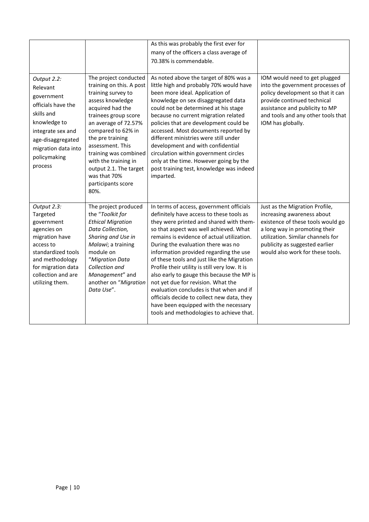|                                                                                                                                                                                             |                                                                                                                                                                                                                                                                                                                                                        | As this was probably the first ever for<br>many of the officers a class average of<br>70.38% is commendable.                                                                                                                                                                                                                                                                                                                                                                                                                                                                                                                                                               |                                                                                                                                                                                                                                               |
|---------------------------------------------------------------------------------------------------------------------------------------------------------------------------------------------|--------------------------------------------------------------------------------------------------------------------------------------------------------------------------------------------------------------------------------------------------------------------------------------------------------------------------------------------------------|----------------------------------------------------------------------------------------------------------------------------------------------------------------------------------------------------------------------------------------------------------------------------------------------------------------------------------------------------------------------------------------------------------------------------------------------------------------------------------------------------------------------------------------------------------------------------------------------------------------------------------------------------------------------------|-----------------------------------------------------------------------------------------------------------------------------------------------------------------------------------------------------------------------------------------------|
| Output 2.2:<br>Relevant<br>government<br>officials have the<br>skills and<br>knowledge to<br>integrate sex and<br>age-disaggregated<br>migration data into<br>policymaking<br>process       | The project conducted<br>training on this. A post<br>training survey to<br>assess knowledge<br>acquired had the<br>trainees group score<br>an average of 72.57%<br>compared to 62% in<br>the pre training<br>assessment. This<br>training was combined<br>with the training in<br>output 2.1. The target<br>was that 70%<br>participants score<br>80%. | As noted above the target of 80% was a<br>little high and probably 70% would have<br>been more ideal. Application of<br>knowledge on sex disaggregated data<br>could not be determined at his stage<br>because no current migration related<br>policies that are development could be<br>accessed. Most documents reported by<br>different ministries were still under<br>development and with confidential<br>circulation within government circles<br>only at the time. However going by the<br>post training test, knowledge was indeed<br>imparted.                                                                                                                    | IOM would need to get plugged<br>into the government processes of<br>policy development so that it can<br>provide continued technical<br>assistance and publicity to MP<br>and tools and any other tools that<br>IOM has globally.            |
| Output 2.3:<br>Targeted<br>government<br>agencies on<br>migration have<br>access to<br>standardized tools<br>and methodology<br>for migration data<br>collection and are<br>utilizing them. | The project produced<br>the "Toolkit for<br><b>Ethical Migration</b><br>Data Collection,<br>Sharing and Use in<br>Malawi; a training<br>module on<br>"Migration Data<br>Collection and<br>Management" and<br>another on "Migration<br>Data Use".                                                                                                       | In terms of access, government officials<br>definitely have access to these tools as<br>they were printed and shared with them-<br>so that aspect was well achieved. What<br>remains is evidence of actual utilization.<br>During the evaluation there was no<br>information provided regarding the use<br>of these tools and just like the Migration<br>Profile their utility is still very low. It is<br>also early to gauge this because the MP is<br>not yet due for revision. What the<br>evaluation concludes is that when and if<br>officials decide to collect new data, they<br>have been equipped with the necessary<br>tools and methodologies to achieve that. | Just as the Migration Profile,<br>increasing awareness about<br>existence of these tools would go<br>a long way in promoting their<br>utilization. Similar channels for<br>publicity as suggested earlier<br>would also work for these tools. |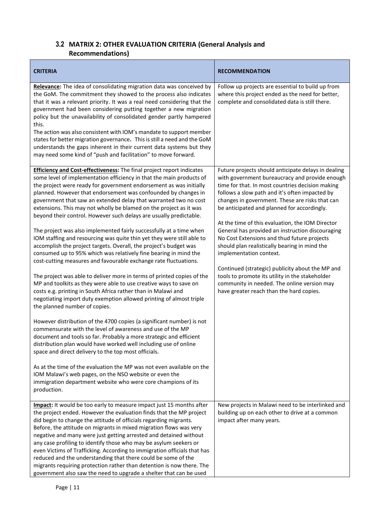## <span id="page-10-0"></span>**3.2 MATRIX 2: OTHER EVALUATION CRITERIA (General Analysis and Recommendations)**

| <b>CRITERIA</b>                                                                                                                                                                                                                                                                                                                                                                                                                                                                                                                                                                                                                                                                                                                                                                                                                                                                                                                                                                                                                                                                                                                                                                                                                                                                                                                                                                                                                                                                                                                                                                                                                                                                                                                                                | <b>RECOMMENDATION</b>                                                                                                                                                                                                                                                                                                                                                                                                                                                                                                                                                                                                                                                                                                                              |
|----------------------------------------------------------------------------------------------------------------------------------------------------------------------------------------------------------------------------------------------------------------------------------------------------------------------------------------------------------------------------------------------------------------------------------------------------------------------------------------------------------------------------------------------------------------------------------------------------------------------------------------------------------------------------------------------------------------------------------------------------------------------------------------------------------------------------------------------------------------------------------------------------------------------------------------------------------------------------------------------------------------------------------------------------------------------------------------------------------------------------------------------------------------------------------------------------------------------------------------------------------------------------------------------------------------------------------------------------------------------------------------------------------------------------------------------------------------------------------------------------------------------------------------------------------------------------------------------------------------------------------------------------------------------------------------------------------------------------------------------------------------|----------------------------------------------------------------------------------------------------------------------------------------------------------------------------------------------------------------------------------------------------------------------------------------------------------------------------------------------------------------------------------------------------------------------------------------------------------------------------------------------------------------------------------------------------------------------------------------------------------------------------------------------------------------------------------------------------------------------------------------------------|
| Relevance: The idea of consolidating migration data was conceived by<br>the GoM. The commitment they showed to the process also indicates<br>that it was a relevant priority. It was a real need considering that the<br>government had been considering putting together a new migration<br>policy but the unavailability of consolidated gender partly hampered<br>this.<br>The action was also consistent with IOM's mandate to support member<br>states for better migration governance. This is still a need and the GoM<br>understands the gaps inherent in their current data systems but they<br>may need some kind of "push and facilitation" to move forward.                                                                                                                                                                                                                                                                                                                                                                                                                                                                                                                                                                                                                                                                                                                                                                                                                                                                                                                                                                                                                                                                                        | Follow up projects are essential to build up from<br>where this project ended as the need for better,<br>complete and consolidated data is still there.                                                                                                                                                                                                                                                                                                                                                                                                                                                                                                                                                                                            |
| <b>Efficiency and Cost-effectiveness:</b> The final project report indicates<br>some level of implementation efficiency in that the main products of<br>the project were ready for government endorsement as was initially<br>planned. However that endorsement was confounded by changes in<br>government that saw an extended delay that warranted two no cost<br>extensions. This may not wholly be blamed on the project as it was<br>beyond their control. However such delays are usually predictable.<br>The project was also implemented fairly successfully at a time when<br>IOM staffing and resourcing was quite thin yet they were still able to<br>accomplish the project targets. Overall, the project's budget was<br>consumed up to 95% which was relatively fine bearing in mind the<br>cost-cutting measures and favourable exchange rate fluctuations.<br>The project was able to deliver more in terms of printed copies of the<br>MP and toolkits as they were able to use creative ways to save on<br>costs e.g. printing in South Africa rather than in Malawi and<br>negotiating import duty exemption allowed printing of almost triple<br>the planned number of copies.<br>However distribution of the 4700 copies (a significant number) is not<br>commensurate with the level of awareness and use of the MP<br>document and tools so far. Probably a more strategic and efficient<br>distribution plan would have worked well including use of online<br>space and direct delivery to the top most officials.<br>As at the time of the evaluation the MP was not even available on the<br>IOM Malawi's web pages, on the NSO website or even the<br>immigration department website who were core champions of its<br>production. | Future projects should anticipate delays in dealing<br>with government bureaucracy and provide enough<br>time for that. In most countries decision making<br>follows a slow path and it's often impacted by<br>changes in government. These are risks that can<br>be anticipated and planned for accordingly.<br>At the time of this evaluation, the IOM Director<br>General has provided an instruction discouraging<br>No Cost Extensions and thud future projects<br>should plan realistically bearing in mind the<br>implementation context.<br>Continued (strategic) publicity about the MP and<br>tools to promote its utility in the stakeholder<br>community in needed. The online version may<br>have greater reach than the hard copies. |
| Impact: It would be too early to measure impact just 15 months after<br>the project ended. However the evaluation finds that the MP project<br>did begin to change the attitude of officials regarding migrants.<br>Before, the attitude on migrants in mixed migration flows was very<br>negative and many were just getting arrested and detained without<br>any case profiling to identify those who may be asylum seekers or<br>even Victims of Trafficking. According to immigration officials that has<br>reduced and the understanding that there could be some of the<br>migrants requiring protection rather than detention is now there. The<br>government also saw the need to upgrade a shelter that can be used                                                                                                                                                                                                                                                                                                                                                                                                                                                                                                                                                                                                                                                                                                                                                                                                                                                                                                                                                                                                                                   | New projects in Malawi need to be interlinked and<br>building up on each other to drive at a common<br>impact after many years.                                                                                                                                                                                                                                                                                                                                                                                                                                                                                                                                                                                                                    |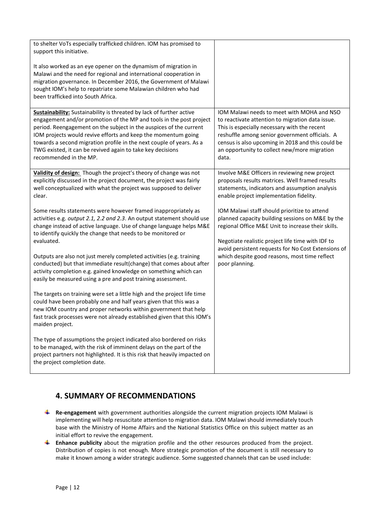| to shelter VoTs especially trafficked children. IOM has promised to                                                                                                                                                                                                                                                                                                                                                                                       |                                                                                                                                                                                                                                                                                                                |
|-----------------------------------------------------------------------------------------------------------------------------------------------------------------------------------------------------------------------------------------------------------------------------------------------------------------------------------------------------------------------------------------------------------------------------------------------------------|----------------------------------------------------------------------------------------------------------------------------------------------------------------------------------------------------------------------------------------------------------------------------------------------------------------|
| support this initiative.                                                                                                                                                                                                                                                                                                                                                                                                                                  |                                                                                                                                                                                                                                                                                                                |
| It also worked as an eye opener on the dynamism of migration in<br>Malawi and the need for regional and international cooperation in<br>migration governance. In December 2016, the Government of Malawi<br>sought IOM's help to repatriate some Malawian children who had<br>been trafficked into South Africa.                                                                                                                                          |                                                                                                                                                                                                                                                                                                                |
| <b>Sustainability:</b> Sustainability is threated by lack of further active<br>engagement and/or promotion of the MP and tools in the post project<br>period. Reengagement on the subject in the auspices of the current<br>IOM projects would revive efforts and keep the momentum going<br>towards a second migration profile in the next couple of years. As a<br>TWG existed, it can be revived again to take key decisions<br>recommended in the MP. | IOM Malawi needs to meet with MOHA and NSO<br>to reactivate attention to migration data issue.<br>This is especially necessary with the recent<br>reshuffle among senior government officials. A<br>census is also upcoming in 2018 and this could be<br>an opportunity to collect new/more migration<br>data. |
| Validity of design: Though the project's theory of change was not<br>explicitly discussed in the project document, the project was fairly<br>well conceptualized with what the project was supposed to deliver<br>clear.                                                                                                                                                                                                                                  | Involve M&E Officers in reviewing new project<br>proposals results matrices. Well framed results<br>statements, indicators and assumption analysis<br>enable project implementation fidelity.                                                                                                                  |
| Some results statements were however framed inappropriately as<br>activities e.g. output 2.1, 2.2 and 2.3. An output statement should use<br>change instead of active language. Use of change language helps M&E<br>to identify quickly the change that needs to be monitored or<br>evaluated.                                                                                                                                                            | IOM Malawi staff should prioritize to attend<br>planned capacity building sessions on M&E by the<br>regional Office M&E Unit to increase their skills.<br>Negotiate realistic project life time with IDF to<br>avoid persistent requests for No Cost Extensions of                                             |
| Outputs are also not just merely completed activities (e.g. training<br>conducted) but that immediate result(change) that comes about after<br>activity completion e.g. gained knowledge on something which can<br>easily be measured using a pre and post training assessment.                                                                                                                                                                           | which despite good reasons, most time reflect<br>poor planning.                                                                                                                                                                                                                                                |
| The targets on training were set a little high and the project life time<br>could have been probably one and half years given that this was a<br>new IOM country and proper networks within government that help<br>fast track processes were not already established given that this IOM's<br>maiden project.                                                                                                                                            |                                                                                                                                                                                                                                                                                                                |
| The type of assumptions the project indicated also bordered on risks<br>to be managed, with the risk of imminent delays on the part of the<br>project partners not highlighted. It is this risk that heavily impacted on<br>the project completion date.                                                                                                                                                                                                  |                                                                                                                                                                                                                                                                                                                |

## <span id="page-11-0"></span>**4. SUMMARY OF RECOMMENDATIONS**

- **Re-engagement** with government authorities alongside the current migration projects IOM Malawi is implementing will help resuscitate attention to migration data. IOM Malawi should immediately touch base with the Ministry of Home Affairs and the National Statistics Office on this subject matter as an initial effort to revive the engagement.
- **Enhance publicity** about the migration profile and the other resources produced from the project. Distribution of copies is not enough. More strategic promotion of the document is still necessary to make it known among a wider strategic audience. Some suggested channels that can be used include: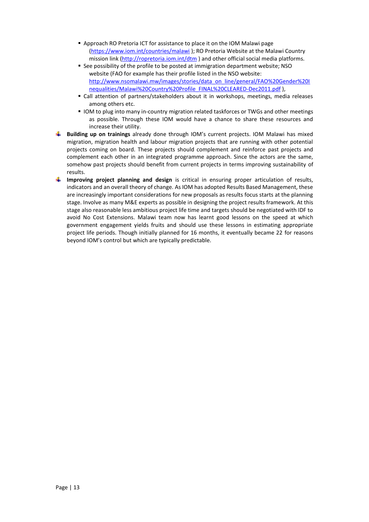- Approach RO Pretoria ICT for assistance to place it on the IOM Malawi page [\(https://www.iom.int/countries/malawi](https://www.iom.int/countries/malawi) ); RO Pretoria Website at the Malawi Country mission link [\(http://ropretoria.iom.int/dtm](http://ropretoria.iom.int/dtm)) and other official social media platforms.
- See possibility of the profile to be posted at immigration department website; NSO website (FAO for example has their profile listed in the NSO website: [http://www.nsomalawi.mw/images/stories/data\\_on\\_line/general/FAO%20Gender%20I](http://www.nsomalawi.mw/images/stories/data_on_line/general/FAO%20Gender%20Inequalities/Malawi%20Country%20Profile_FINAL%20CLEARED-Dec2011.pdf) [nequalities/Malawi%20Country%20Profile\\_FINAL%20CLEARED-Dec2011.pdf](http://www.nsomalawi.mw/images/stories/data_on_line/general/FAO%20Gender%20Inequalities/Malawi%20Country%20Profile_FINAL%20CLEARED-Dec2011.pdf)),
- Call attention of partners/stakeholders about it in workshops, meetings, media releases among others etc.
- **IOM** to plug into many in-country migration related taskforces or TWGs and other meetings as possible. Through these IOM would have a chance to share these resources and increase their utility.
- **Building up on trainings** already done through IOM's current projects. IOM Malawi has mixed migration, migration health and labour migration projects that are running with other potential projects coming on board. These projects should complement and reinforce past projects and complement each other in an integrated programme approach. Since the actors are the same, somehow past projects should benefit from current projects in terms improving sustainability of results.
- **Improving project planning and design** is critical in ensuring proper articulation of results, indicators and an overall theory of change. As IOM has adopted Results Based Management, these are increasingly important considerations for new proposals as results focus starts at the planning stage. Involve as many M&E experts as possible in designing the project results framework. At this stage also reasonable less ambitious project life time and targets should be negotiated with IDF to avoid No Cost Extensions. Malawi team now has learnt good lessons on the speed at which government engagement yields fruits and should use these lessons in estimating appropriate project life periods. Though initially planned for 16 months, it eventually became 22 for reasons beyond IOM's control but which are typically predictable.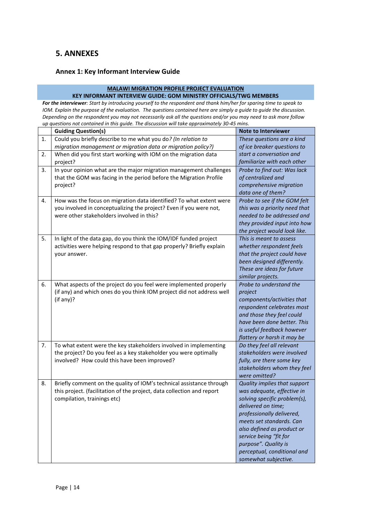## <span id="page-13-0"></span>**5. ANNEXES**

#### <span id="page-13-1"></span>**Annex 1: Key Informant Interview Guide**

#### **MALAWI MIGRATION PROFILE PROJECT EVALUATION**

**KEY INFORMANT INTERVIEW GUIDE: GOM MINISTRY OFFICIALS/TWG MEMBERS** *For the interviewer: Start by introducing yourself to the respondent and thank him/her for sparing time to speak to IOM. Explain the purpose of the evaluation. The questions contained here are simply a guide to guide the discussion. Depending on the respondent you may not necessarily ask all the questions and/or you may need to ask more follow up questions not contained in this guide. The discussion will take approximately 30-45 mins.*

|    | <b>Guiding Question(s)</b>                                             | <b>Note to Interviewer</b>                    |
|----|------------------------------------------------------------------------|-----------------------------------------------|
| 1. | Could you briefly describe to me what you do? (In relation to          | These questions are a kind                    |
|    | migration management or migration data or migration policy?)           | of ice breaker questions to                   |
| 2. | When did you first start working with IOM on the migration data        | start a conversation and                      |
|    | project?                                                               | familiarize with each other                   |
| 3. | In your opinion what are the major migration management challenges     | Probe to find out: Was lack                   |
|    | that the GOM was facing in the period before the Migration Profile     | of centralized and                            |
|    | project?                                                               | comprehensive migration                       |
|    |                                                                        | data one of them?                             |
| 4. | How was the focus on migration data identified? To what extent were    | Probe to see if the GOM felt                  |
|    | you involved in conceptualizing the project? Even if you were not,     | this was a priority need that                 |
|    | were other stakeholders involved in this?                              | needed to be addressed and                    |
|    |                                                                        | they provided input into how                  |
|    |                                                                        | the project would look like.                  |
| 5. | In light of the data gap, do you think the IOM/IDF funded project      | This is meant to assess                       |
|    | activities were helping respond to that gap properly? Briefly explain  | whether respondent feels                      |
|    | your answer.                                                           | that the project could have                   |
|    |                                                                        | been designed differently.                    |
|    |                                                                        | These are ideas for future                    |
|    |                                                                        | similar projects.                             |
| 6. | What aspects of the project do you feel were implemented properly      | Probe to understand the                       |
|    | (if any) and which ones do you think IOM project did not address well  | project                                       |
|    | (if any)?                                                              | components/activities that                    |
|    |                                                                        | respondent celebrates most                    |
|    |                                                                        | and those they feel could                     |
|    |                                                                        | have been done better. This                   |
|    |                                                                        | is useful feedback however                    |
|    |                                                                        | flattery or harsh it may be                   |
| 7. | To what extent were the key stakeholders involved in implementing      | Do they feel all relevant                     |
|    | the project? Do you feel as a key stakeholder you were optimally       | stakeholders were involved                    |
|    | involved? How could this have been improved?                           | fully, are there some key                     |
|    |                                                                        | stakeholders whom they feel                   |
| 8. | Briefly comment on the quality of IOM's technical assistance through   | were omitted?<br>Quality implies that support |
|    | this project. (facilitation of the project, data collection and report | was adequate, effective in                    |
|    | compilation, trainings etc)                                            | solving specific problem(s),                  |
|    |                                                                        | delivered on time;                            |
|    |                                                                        | professionally delivered,                     |
|    |                                                                        | meets set standards. Can                      |
|    |                                                                        | also defined as product or                    |
|    |                                                                        | service being "fit for                        |
|    |                                                                        | purpose". Quality is                          |
|    |                                                                        | perceptual, conditional and                   |
|    |                                                                        | somewhat subjective.                          |
|    |                                                                        |                                               |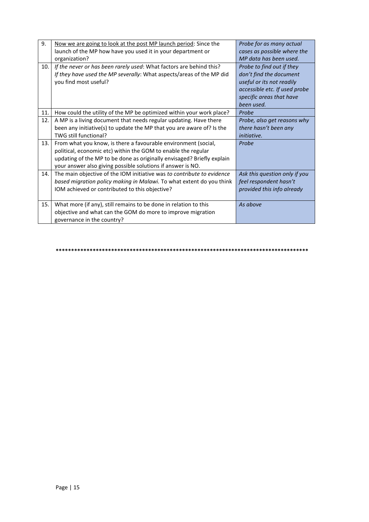| 9.  | Now we are going to look at the post MP launch period: Since the       | Probe for as many actual      |
|-----|------------------------------------------------------------------------|-------------------------------|
|     | launch of the MP how have you used it in your department or            | cases as possible where the   |
|     | organization?                                                          | MP data has been used.        |
| 10. | If the never or has been rarely used: What factors are behind this?    | Probe to find out if they     |
|     | If they have used the MP severally: What aspects/areas of the MP did   | don't find the document       |
|     | you find most useful?                                                  | useful or its not readily     |
|     |                                                                        | accessible etc. If used probe |
|     |                                                                        | specific areas that have      |
|     |                                                                        | been used.                    |
| 11. | How could the utility of the MP be optimized within your work place?   | Probe                         |
| 12. | A MP is a living document that needs regular updating. Have there      | Probe, also get reasons why   |
|     | been any initiative(s) to update the MP that you are aware of? Is the  | there hasn't been any         |
|     | TWG still functional?                                                  | <i>initiative.</i>            |
| 13. | From what you know, is there a favourable environment (social,         | Probe                         |
|     | political, economic etc) within the GOM to enable the regular          |                               |
|     | updating of the MP to be done as originally envisaged? Briefly explain |                               |
|     | your answer also giving possible solutions if answer is NO.            |                               |
| 14. | The main objective of the IOM initiative was to contribute to evidence | Ask this question only if you |
|     | based migration policy making in Malawi. To what extent do you think   | feel respondent hasn't        |
|     | IOM achieved or contributed to this objective?                         | provided this info already    |
|     |                                                                        |                               |
| 15. | What more (if any), still remains to be done in relation to this       | As above                      |
|     | objective and what can the GOM do more to improve migration            |                               |
|     | governance in the country?                                             |                               |

**\*\*\*\*\*\*\*\*\*\*\*\*\*\*\*\*\*\*\*\*\*\*\*\*\*\*\*\*\*\*\*\*\*\*\*\*\*\*\*\*\*\*\*\*\*\*\*\*\*\*\*\*\*\*\*\*\*\*\*\*\*\*\*\*\*\*\*\*\*\*\*\*\*\*\*\*\*\*\*\*\*\***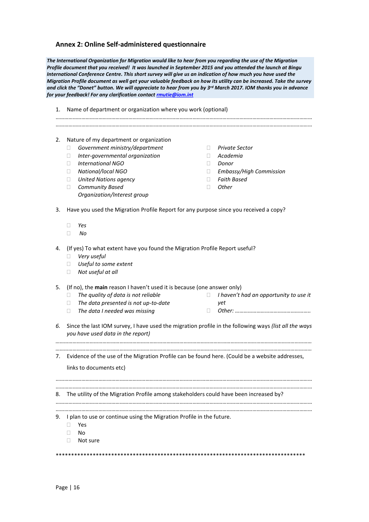#### <span id="page-15-0"></span>**Annex 2: Online Self-administered questionnaire**

*The International Organization for Migration would like to hear from you regarding the use of the Migration Profile document that you received! It was launched in September 2015 and you attended the launch at Bingu International Conference Centre. This short survey will give us an indication of how much you have used the Migration Profile document as well get your valuable feedback on how its utility can be increased. Take the survey and click the "Donet" button. We will appreciate to hear from you by 3rd March 2017. IOM thanks you in advance for your feedback! For any clarification contac[t rmutie@iom.int](mailto:rmutie@iom.int)*

| 1. | Name of department or organization where you work (optional)                                                                                                                                                                                                                                                     |                                             |                                                                                                      |
|----|------------------------------------------------------------------------------------------------------------------------------------------------------------------------------------------------------------------------------------------------------------------------------------------------------------------|---------------------------------------------|------------------------------------------------------------------------------------------------------|
|    |                                                                                                                                                                                                                                                                                                                  |                                             |                                                                                                      |
| 2. | Nature of my department or organization<br>Government ministry/department<br>$\Box$<br>Inter-governmental organization<br>□<br><b>International NGO</b><br>$\mathbf{L}$<br>National/local NGO<br>П.<br><b>United Nations agency</b><br>$\Box$<br><b>Community Based</b><br>$\Box$<br>Organization/Interest group | П.<br>$\Box$<br>$\Box$<br>$\Box$<br>П.<br>П | <b>Private Sector</b><br>Academia<br>Donor<br>Embassy/High Commission<br><b>Faith Based</b><br>Other |
| 3. | Have you used the Migration Profile Report for any purpose since you received a copy?<br>Yes<br>$\mathbf{L}$<br>No<br>П                                                                                                                                                                                          |                                             |                                                                                                      |
| 4. | (If yes) To what extent have you found the Migration Profile Report useful?<br>Very useful<br>$\mathbf{L}$<br>Useful to some extent<br>$\Box$<br>Not useful at all<br>$\Box$                                                                                                                                     |                                             |                                                                                                      |
| 5. | (If no), the main reason I haven't used it is because (one answer only)<br>The quality of data is not reliable<br>$\mathbf{L}$<br>The data presented is not up-to-date<br>$\mathbf{L}$<br>The data I needed was missing<br>П                                                                                     | $\Box$<br>$\mathbf{L}$                      | I haven't had an opportunity to use it<br>yet                                                        |
| 6. | Since the last IOM survey, I have used the migration profile in the following ways (list all the ways<br>you have used data in the report)                                                                                                                                                                       |                                             |                                                                                                      |
| 7. | Evidence of the use of the Migration Profile can be found here. (Could be a website addresses,                                                                                                                                                                                                                   |                                             |                                                                                                      |
|    | links to documents etc)                                                                                                                                                                                                                                                                                          |                                             |                                                                                                      |
| 8. | The utility of the Migration Profile among stakeholders could have been increased by?                                                                                                                                                                                                                            |                                             |                                                                                                      |
|    | 9. I plan to use or continue using the Migration Profile in the future.<br>Yes<br>No<br>Not sure                                                                                                                                                                                                                 |                                             |                                                                                                      |
|    |                                                                                                                                                                                                                                                                                                                  |                                             |                                                                                                      |